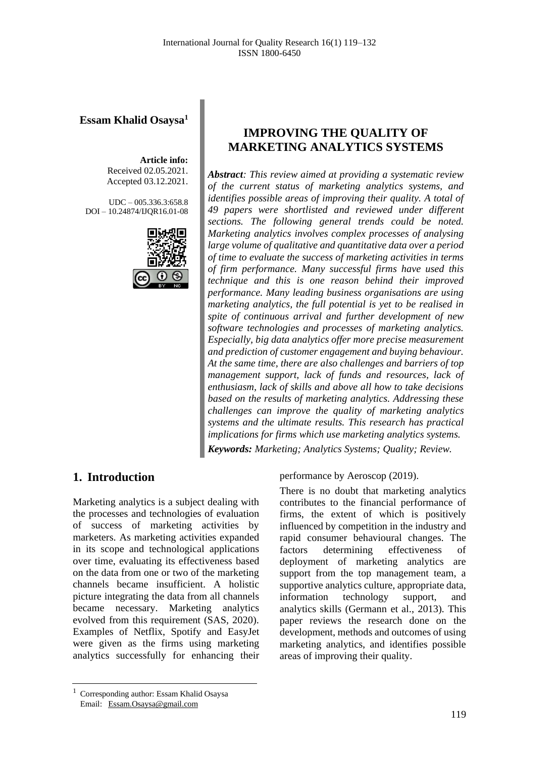**Essam Khalid Osaysa<sup>1</sup>**

**Article info:** Received 02.05.2021. Accepted 03.12.2021.

UDC – 005.336.3:658.8 DOI – 10.24874/IJQR16.01-08



# **IMPROVING THE QUALITY OF MARKETING ANALYTICS SYSTEMS**

*Abstract: This review aimed at providing a systematic review of the current status of marketing analytics systems, and identifies possible areas of improving their quality. A total of 49 papers were shortlisted and reviewed under different sections. The following general trends could be noted. Marketing analytics involves complex processes of analysing large volume of qualitative and quantitative data over a period of time to evaluate the success of marketing activities in terms of firm performance. Many successful firms have used this technique and this is one reason behind their improved performance. Many leading business organisations are using marketing analytics, the full potential is yet to be realised in spite of continuous arrival and further development of new software technologies and processes of marketing analytics. Especially, big data analytics offer more precise measurement and prediction of customer engagement and buying behaviour. At the same time, there are also challenges and barriers of top management support, lack of funds and resources, lack of enthusiasm, lack of skills and above all how to take decisions based on the results of marketing analytics. Addressing these challenges can improve the quality of marketing analytics systems and the ultimate results. This research has practical implications for firms which use marketing analytics systems.*

*Keywords: Marketing; Analytics Systems; Quality; Review.*

### **1. Introduction**

Marketing analytics is a subject dealing with the processes and technologies of evaluation of success of marketing activities by marketers. As marketing activities expanded in its scope and technological applications over time, evaluating its effectiveness based on the data from one or two of the marketing channels became insufficient. A holistic picture integrating the data from all channels became necessary. Marketing analytics evolved from this requirement (SAS, 2020). Examples of Netflix, Spotify and EasyJet were given as the firms using marketing analytics successfully for enhancing their performance by Aeroscop (2019).

There is no doubt that marketing analytics contributes to the financial performance of firms, the extent of which is positively influenced by competition in the industry and rapid consumer behavioural changes. The factors determining effectiveness of deployment of marketing analytics are support from the top management team, a supportive analytics culture, appropriate data, information technology support, and analytics skills (Germann et al., 2013). This paper reviews the research done on the development, methods and outcomes of using marketing analytics, and identifies possible areas of improving their quality.

<sup>1</sup> Corresponding author: Essam Khalid Osaysa Email: [Essam.Osaysa@gmail.com](mailto:Essam.Osaysa@gmail.com)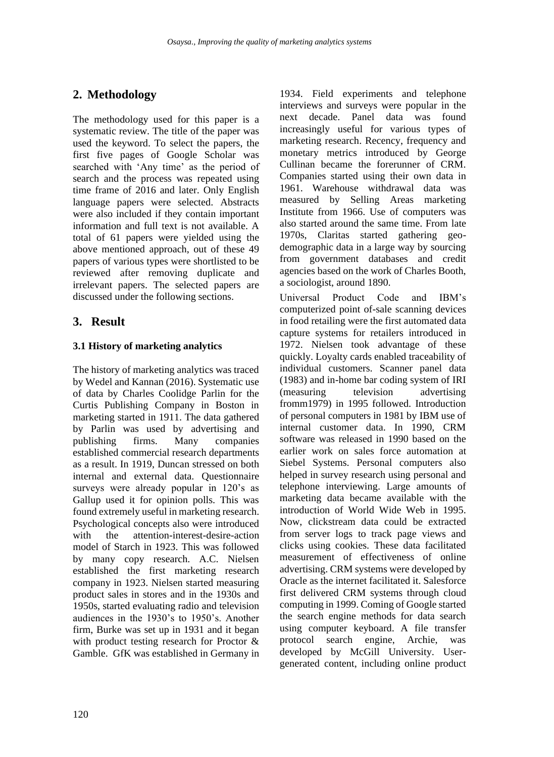# **2. Methodology**

The methodology used for this paper is a systematic review. The title of the paper was used the keyword. To select the papers, the first five pages of Google Scholar was searched with 'Any time' as the period of search and the process was repeated using time frame of 2016 and later. Only English language papers were selected. Abstracts were also included if they contain important information and full text is not available. A total of 61 papers were yielded using the above mentioned approach, out of these 49 papers of various types were shortlisted to be reviewed after removing duplicate and irrelevant papers. The selected papers are discussed under the following sections.

### **3. Result**

#### **3.1 History of marketing analytics**

The history of marketing analytics was traced by Wedel and Kannan (2016). Systematic use of data by Charles Coolidge Parlin for the Curtis Publishing Company in Boston in marketing started in 1911. The data gathered by Parlin was used by advertising and publishing firms. Many companies established commercial research departments as a result. In 1919, Duncan stressed on both internal and external data. Questionnaire surveys were already popular in 120's as Gallup used it for opinion polls. This was found extremely useful in marketing research. Psychological concepts also were introduced with the attention-interest-desire-action model of Starch in 1923. This was followed by many copy research. A.C. Nielsen established the first marketing research company in 1923. Nielsen started measuring product sales in stores and in the 1930s and 1950s, started evaluating radio and television audiences in the 1930's to 1950's. Another firm, Burke was set up in 1931 and it began with product testing research for Proctor & Gamble. GfK was established in Germany in

1934. Field experiments and telephone interviews and surveys were popular in the next decade. Panel data was found increasingly useful for various types of marketing research. Recency, frequency and monetary metrics introduced by George Cullinan became the forerunner of CRM. Companies started using their own data in 1961. Warehouse withdrawal data was measured by Selling Areas marketing Institute from 1966. Use of computers was also started around the same time. From late 1970s, Claritas started gathering geodemographic data in a large way by sourcing from government databases and credit agencies based on the work of Charles Booth, a sociologist, around 1890.

Universal Product Code and IBM's computerized point of-sale scanning devices in food retailing were the first automated data capture systems for retailers introduced in 1972. Nielsen took advantage of these quickly. Loyalty cards enabled traceability of individual customers. Scanner panel data (1983) and in-home bar coding system of IRI (measuring television advertising fromm1979) in 1995 followed. Introduction of personal computers in 1981 by IBM use of internal customer data. In 1990, CRM software was released in 1990 based on the earlier work on sales force automation at Siebel Systems. Personal computers also helped in survey research using personal and telephone interviewing. Large amounts of marketing data became available with the introduction of World Wide Web in 1995. Now, clickstream data could be extracted from server logs to track page views and clicks using cookies. These data facilitated measurement of effectiveness of online advertising. CRM systems were developed by Oracle as the internet facilitated it. Salesforce first delivered CRM systems through cloud computing in 1999. Coming of Google started the search engine methods for data search using computer keyboard. A file transfer protocol search engine, Archie, was developed by McGill University. Usergenerated content, including online product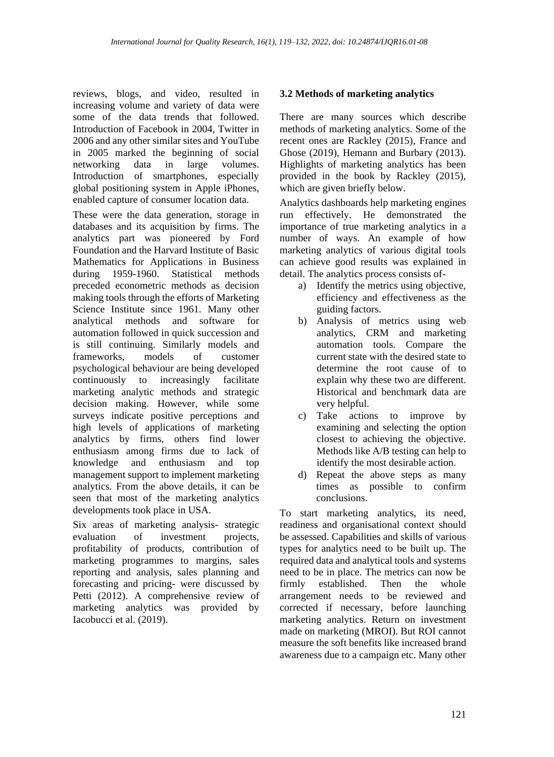reviews, blogs, and video, resulted in increasing volume and variety of data were some of the data trends that followed. Introduction of Facebook in 2004, Twitter in 2006 and any other similar sites and YouTube in 2005 marked the beginning of social networking data in large volumes. Introduction of smartphones, especially global positioning system in Apple iPhones, enabled capture of consumer location data.

These were the data generation, storage in databases and its acquisition by firms. The analytics part was pioneered by Ford Foundation and the Harvard Institute of Basic Mathematics for Applications in Business during 1959-1960. Statistical methods preceded econometric methods as decision making tools through the efforts of Marketing Science Institute since 1961. Many other analytical methods and software for automation followed in quick succession and is still continuing. Similarly models and frameworks, models of customer psychological behaviour are being developed continuously to increasingly facilitate marketing analytic methods and strategic decision making. However, while some surveys indicate positive perceptions and high levels of applications of marketing analytics by firms, others find lower enthusiasm among firms due to lack of knowledge and enthusiasm and top management support to implement marketing analytics. From the above details, it can be seen that most of the marketing analytics developments took place in USA.

Six areas of marketing analysis- strategic evaluation of investment projects, profitability of products, contribution of marketing programmes to margins, sales reporting and analysis, sales planning and forecasting and pricing- were discussed by Petti (2012). A comprehensive review of marketing analytics was provided by Iacobucci et al. (2019).

#### **3.2 Methods of marketing analytics**

There are many sources which describe methods of marketing analytics. Some of the recent ones are Rackley (2015), France and Ghose (2019), Hemann and Burbary (2013). Highlights of marketing analytics has been provided in the book by Rackley (2015), which are given briefly below.

Analytics dashboards help marketing engines run effectively. He demonstrated the importance of true marketing analytics in a number of ways. An example of how marketing analytics of various digital tools can achieve good results was explained in detail. The analytics process consists of-

- a) Identify the metrics using objective, efficiency and effectiveness as the guiding factors.
- b) Analysis of metrics using web analytics, CRM and marketing automation tools. Compare the current state with the desired state to determine the root cause of to explain why these two are different. Historical and benchmark data are very helpful.
- c) Take actions to improve by examining and selecting the option closest to achieving the objective. Methods like A/B testing can help to identify the most desirable action.
- d) Repeat the above steps as many times as possible to confirm conclusions.

To start marketing analytics, its need, readiness and organisational context should be assessed. Capabilities and skills of various types for analytics need to be built up. The required data and analytical tools and systems need to be in place. The metrics can now be firmly established. Then the whole arrangement needs to be reviewed and corrected if necessary, before launching marketing analytics. Return on investment made on marketing (MROI). But ROI cannot measure the soft benefits like increased brand awareness due to a campaign etc. Many other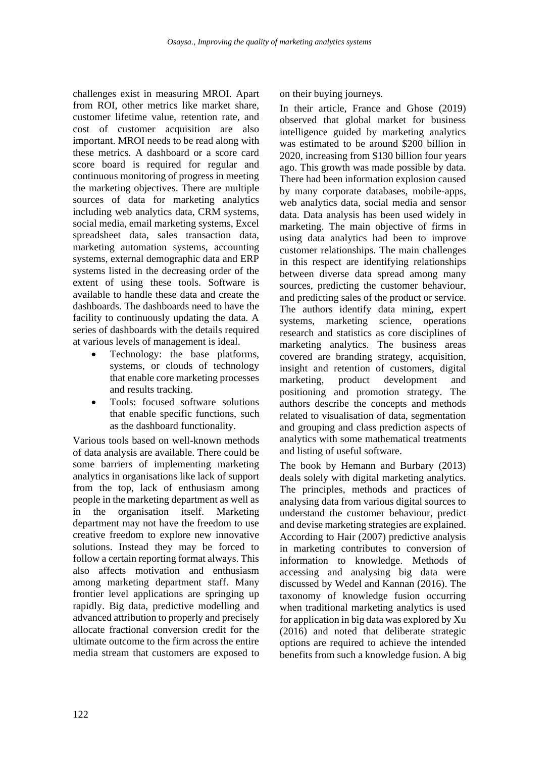challenges exist in measuring MROI. Apart from ROI, other metrics like market share, customer lifetime value, retention rate, and cost of customer acquisition are also important. MROI needs to be read along with these metrics. A dashboard or a score card score board is required for regular and continuous monitoring of progress in meeting the marketing objectives. There are multiple sources of data for marketing analytics including web analytics data, CRM systems, social media, email marketing systems, Excel spreadsheet data, sales transaction data, marketing automation systems, accounting systems, external demographic data and ERP systems listed in the decreasing order of the extent of using these tools. Software is available to handle these data and create the dashboards. The dashboards need to have the facility to continuously updating the data. A series of dashboards with the details required at various levels of management is ideal.

- Technology: the base platforms, systems, or clouds of technology that enable core marketing processes and results tracking.
- Tools: focused software solutions that enable specific functions, such as the dashboard functionality.

Various tools based on well-known methods of data analysis are available. There could be some barriers of implementing marketing analytics in organisations like lack of support from the top, lack of enthusiasm among people in the marketing department as well as in the organisation itself. Marketing department may not have the freedom to use creative freedom to explore new innovative solutions. Instead they may be forced to follow a certain reporting format always. This also affects motivation and enthusiasm among marketing department staff. Many frontier level applications are springing up rapidly. Big data, predictive modelling and advanced attribution to properly and precisely allocate fractional conversion credit for the ultimate outcome to the firm across the entire media stream that customers are exposed to

on their buying journeys.

In their article, France and Ghose (2019) observed that global market for business intelligence guided by marketing analytics was estimated to be around \$200 billion in 2020, increasing from \$130 billion four years ago. This growth was made possible by data. There had been information explosion caused by many corporate databases, mobile-apps, web analytics data, social media and sensor data. Data analysis has been used widely in marketing. The main objective of firms in using data analytics had been to improve customer relationships. The main challenges in this respect are identifying relationships between diverse data spread among many sources, predicting the customer behaviour, and predicting sales of the product or service. The authors identify data mining, expert systems, marketing science, operations research and statistics as core disciplines of marketing analytics. The business areas covered are branding strategy, acquisition, insight and retention of customers, digital marketing, product development and positioning and promotion strategy. The authors describe the concepts and methods related to visualisation of data, segmentation and grouping and class prediction aspects of analytics with some mathematical treatments and listing of useful software.

The book by Hemann and Burbary (2013) deals solely with digital marketing analytics. The principles, methods and practices of analysing data from various digital sources to understand the customer behaviour, predict and devise marketing strategies are explained. According to Hair (2007) predictive analysis in marketing contributes to conversion of information to knowledge. Methods of accessing and analysing big data were discussed by Wedel and Kannan (2016). The taxonomy of knowledge fusion occurring when traditional marketing analytics is used for application in big data was explored by Xu (2016) and noted that deliberate strategic options are required to achieve the intended benefits from such a knowledge fusion. A big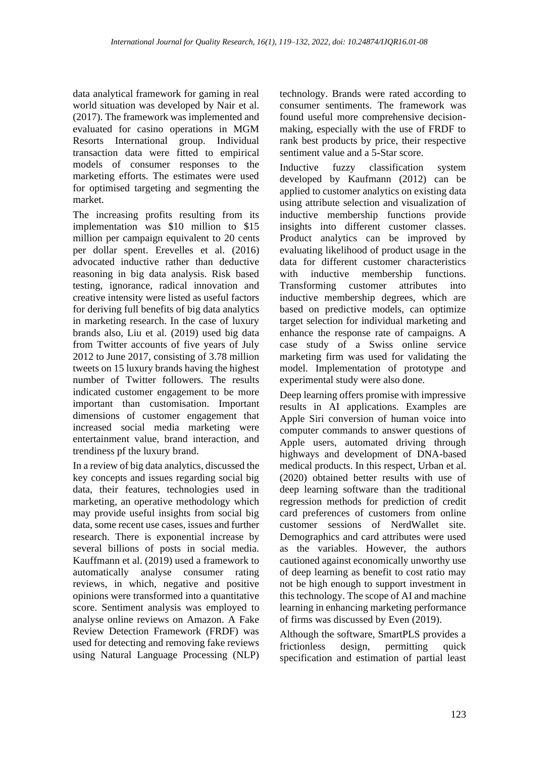data analytical framework for gaming in real world situation was developed by Nair et al. (2017). The framework was implemented and evaluated for casino operations in MGM Resorts International group. Individual transaction data were fitted to empirical models of consumer responses to the marketing efforts. The estimates were used for optimised targeting and segmenting the market.

The increasing profits resulting from its implementation was \$10 million to \$15 million per campaign equivalent to 20 cents per dollar spent. Erevelles et al. (2016) advocated inductive rather than deductive reasoning in big data analysis. Risk based testing, ignorance, radical innovation and creative intensity were listed as useful factors for deriving full benefits of big data analytics in marketing research. In the case of luxury brands also, Liu et al. (2019) used big data from Twitter accounts of five years of July 2012 to June 2017, consisting of 3.78 million tweets on 15 luxury brands having the highest number of Twitter followers. The results indicated customer engagement to be more important than customisation. Important dimensions of customer engagement that increased social media marketing were entertainment value, brand interaction, and trendiness pf the luxury brand.

In a review of big data analytics, discussed the key concepts and issues regarding social big data, their features, technologies used in marketing, an operative methodology which may provide useful insights from social big data, some recent use cases, issues and further research. There is exponential increase by several billions of posts in social media. Kauffmann et al. (2019) used a framework to automatically analyse consumer rating reviews, in which, negative and positive opinions were transformed into a quantitative score. Sentiment analysis was employed to analyse online reviews on Amazon. A Fake Review Detection Framework (FRDF) was used for detecting and removing fake reviews using Natural Language Processing (NLP)

technology. Brands were rated according to consumer sentiments. The framework was found useful more comprehensive decisionmaking, especially with the use of FRDF to rank best products by price, their respective sentiment value and a 5-Star score.

Inductive fuzzy classification system developed by Kaufmann (2012) can be applied to customer analytics on existing data using attribute selection and visualization of inductive membership functions provide insights into different customer classes. Product analytics can be improved by evaluating likelihood of product usage in the data for different customer characteristics with inductive membership functions. Transforming customer attributes into inductive membership degrees, which are based on predictive models, can optimize target selection for individual marketing and enhance the response rate of campaigns. A case study of a Swiss online service marketing firm was used for validating the model. Implementation of prototype and experimental study were also done.

Deep learning offers promise with impressive results in AI applications. Examples are Apple Siri conversion of human voice into computer commands to answer questions of Apple users, automated driving through highways and development of DNA-based medical products. In this respect, Urban et al. (2020) obtained better results with use of deep learning software than the traditional regression methods for prediction of credit card preferences of customers from online customer sessions of NerdWallet site. Demographics and card attributes were used as the variables. However, the authors cautioned against economically unworthy use of deep learning as benefit to cost ratio may not be high enough to support investment in this technology. The scope of AI and machine learning in enhancing marketing performance of firms was discussed by Even (2019).

Although the software, SmartPLS provides a frictionless design, permitting quick specification and estimation of partial least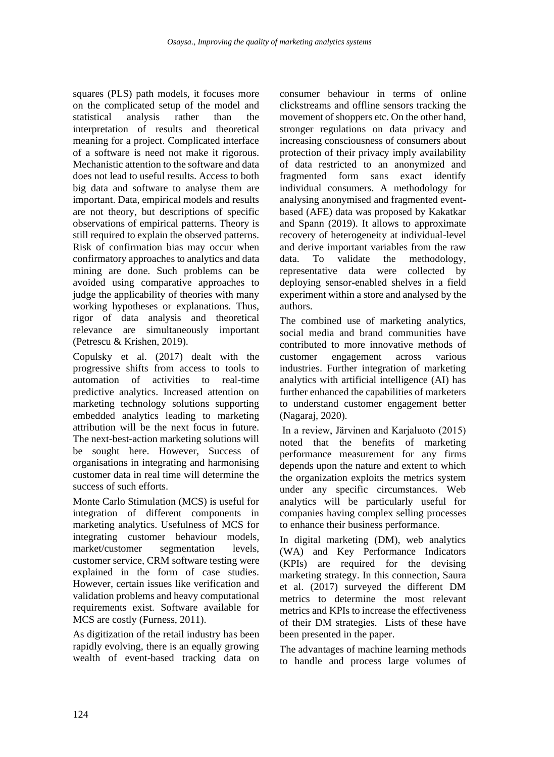squares (PLS) path models, it focuses more on the complicated setup of the model and statistical analysis rather than the interpretation of results and theoretical meaning for a project. Complicated interface of a software is need not make it rigorous. Mechanistic attention to the software and data does not lead to useful results. Access to both big data and software to analyse them are important. Data, empirical models and results are not theory, but descriptions of specific observations of empirical patterns. Theory is still required to explain the observed patterns. Risk of confirmation bias may occur when confirmatory approaches to analytics and data mining are done. Such problems can be avoided using comparative approaches to judge the applicability of theories with many working hypotheses or explanations. Thus, rigor of data analysis and theoretical relevance are simultaneously important (Petrescu & Krishen, 2019).

Copulsky et al. (2017) dealt with the progressive shifts from access to tools to automation of activities to real-time predictive analytics. Increased attention on marketing technology solutions supporting embedded analytics leading to marketing attribution will be the next focus in future. The next-best-action marketing solutions will be sought here. However, Success of organisations in integrating and harmonising customer data in real time will determine the success of such efforts.

Monte Carlo Stimulation (MCS) is useful for integration of different components in marketing analytics. Usefulness of MCS for integrating customer behaviour models, market/customer segmentation levels, customer service, CRM software testing were explained in the form of case studies. However, certain issues like verification and validation problems and heavy computational requirements exist. Software available for MCS are costly (Furness, 2011).

As digitization of the retail industry has been rapidly evolving, there is an equally growing wealth of event-based tracking data on consumer behaviour in terms of online clickstreams and offline sensors tracking the movement of shoppers etc. On the other hand, stronger regulations on data privacy and increasing consciousness of consumers about protection of their privacy imply availability of data restricted to an anonymized and fragmented form sans exact identify individual consumers. A methodology for analysing anonymised and fragmented eventbased (AFE) data was proposed by Kakatkar and Spann (2019). It allows to approximate recovery of heterogeneity at individual-level and derive important variables from the raw data. To validate the methodology, representative data were collected by deploying sensor-enabled shelves in a field experiment within a store and analysed by the authors.

The combined use of marketing analytics, social media and brand communities have contributed to more innovative methods of customer engagement across various industries. Further integration of marketing analytics with artificial intelligence (AI) has further enhanced the capabilities of marketers to understand customer engagement better (Nagaraj, 2020).

In a review, Järvinen and Karjaluoto (2015) noted that the benefits of marketing performance measurement for any firms depends upon the nature and extent to which the organization exploits the metrics system under any specific circumstances. Web analytics will be particularly useful for companies having complex selling processes to enhance their business performance.

In digital marketing (DM), web analytics (WA) and Key Performance Indicators (KPIs) are required for the devising marketing strategy. In this connection, Saura et al. (2017) surveyed the different DM metrics to determine the most relevant metrics and KPIs to increase the effectiveness of their DM strategies. Lists of these have been presented in the paper.

The advantages of machine learning methods to handle and process large volumes of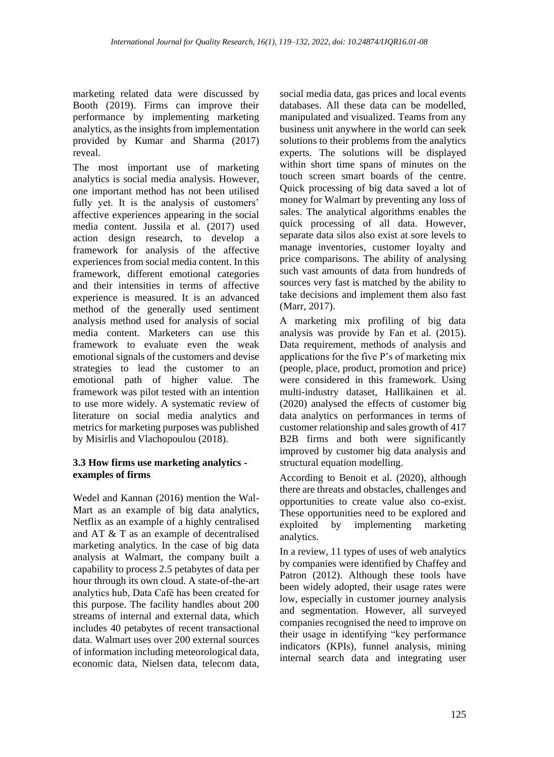marketing related data were discussed by Booth (2019). Firms can improve their performance by implementing marketing analytics, as the insights from implementation provided by Kumar and Sharma (2017) reveal.

The most important use of marketing analytics is social media analysis. However, one important method has not been utilised fully yet. It is the analysis of customers' affective experiences appearing in the social media content. Jussila et al. (2017) used action design research, to develop a framework for analysis of the affective experiences from social media content. In this framework, different emotional categories and their intensities in terms of affective experience is measured. It is an advanced method of the generally used sentiment analysis method used for analysis of social media content. Marketers can use this framework to evaluate even the weak emotional signals of the customers and devise strategies to lead the customer to an emotional path of higher value. The framework was pilot tested with an intention to use more widely. A systematic review of literature on social media analytics and metrics for marketing purposes was published by Misirlis and Vlachopoulou (2018).

#### **3.3 How firms use marketing analytics examples of firms**

Wedel and Kannan (2016) mention the Wal-Mart as an example of big data analytics, Netflix as an example of a highly centralised and AT & T as an example of decentralised marketing analytics. In the case of big data analysis at Walmart, the company built a capability to process 2.5 petabytes of data per hour through its own cloud. A state-of-the-art analytics hub, Data Café has been created for this purpose. The facility handles about 200 streams of internal and external data, which includes 40 petabytes of recent transactional data. Walmart uses over 200 external sources of information including meteorological data, economic data, Nielsen data, telecom data,

social media data, gas prices and local events databases. All these data can be modelled, manipulated and visualized. Teams from any business unit anywhere in the world can seek solutions to their problems from the analytics experts. The solutions will be displayed within short time spans of minutes on the touch screen smart boards of the centre. Quick processing of big data saved a lot of money for Walmart by preventing any loss of sales. The analytical algorithms enables the quick processing of all data. However, separate data silos also exist at sore levels to manage inventories, customer loyalty and price comparisons. The ability of analysing such vast amounts of data from hundreds of sources very fast is matched by the ability to take decisions and implement them also fast (Marr, 2017).

A marketing mix profiling of big data analysis was provide by Fan et al. (2015). Data requirement, methods of analysis and applications for the five P's of marketing mix (people, place, product, promotion and price) were considered in this framework. Using multi-industry dataset, Hallikainen et al. (2020) analysed the effects of customer big data analytics on performances in terms of customer relationship and sales growth of 417 B2B firms and both were significantly improved by customer big data analysis and structural equation modelling.

According to Benoit et al. (2020), although there are threats and obstacles, challenges and opportunities to create value also co-exist. These opportunities need to be explored and exploited by implementing marketing analytics.

In a review, 11 types of uses of web analytics by companies were identified by Chaffey and Patron (2012). Although these tools have been widely adopted, their usage rates were low, especially in customer journey analysis and segmentation. However, all surveyed companies recognised the need to improve on their usage in identifying "key performance indicators (KPIs), funnel analysis, mining internal search data and integrating user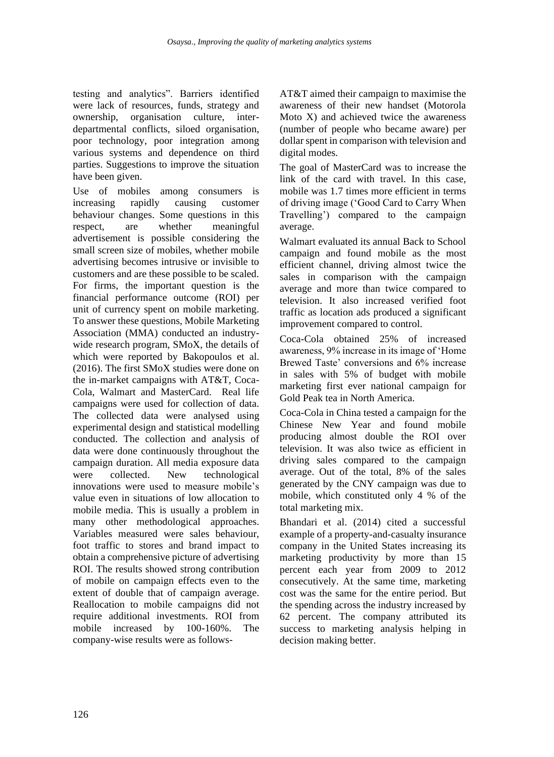testing and analytics". Barriers identified were lack of resources, funds, strategy and ownership, organisation culture, interdepartmental conflicts, siloed organisation, poor technology, poor integration among various systems and dependence on third parties. Suggestions to improve the situation have been given.

Use of mobiles among consumers is increasing rapidly causing customer behaviour changes. Some questions in this respect, are whether meaningful advertisement is possible considering the small screen size of mobiles, whether mobile advertising becomes intrusive or invisible to customers and are these possible to be scaled. For firms, the important question is the financial performance outcome (ROI) per unit of currency spent on mobile marketing. To answer these questions, Mobile Marketing Association (MMA) conducted an industrywide research program, SMoX, the details of which were reported by Bakopoulos et al. (2016). The first SMoX studies were done on the in-market campaigns with AT&T, Coca-Cola, Walmart and MasterCard. Real life campaigns were used for collection of data. The collected data were analysed using experimental design and statistical modelling conducted. The collection and analysis of data were done continuously throughout the campaign duration. All media exposure data were collected. New technological innovations were used to measure mobile's value even in situations of low allocation to mobile media. This is usually a problem in many other methodological approaches. Variables measured were sales behaviour, foot traffic to stores and brand impact to obtain a comprehensive picture of advertising ROI. The results showed strong contribution of mobile on campaign effects even to the extent of double that of campaign average. Reallocation to mobile campaigns did not require additional investments. ROI from mobile increased by 100-160%. The company-wise results were as follows-

AT&T aimed their campaign to maximise the awareness of their new handset (Motorola Moto X) and achieved twice the awareness (number of people who became aware) per dollar spent in comparison with television and digital modes.

The goal of MasterCard was to increase the link of the card with travel. In this case, mobile was 1.7 times more efficient in terms of driving image ('Good Card to Carry When Travelling') compared to the campaign average.

Walmart evaluated its annual Back to School campaign and found mobile as the most efficient channel, driving almost twice the sales in comparison with the campaign average and more than twice compared to television. It also increased verified foot traffic as location ads produced a significant improvement compared to control.

Coca-Cola obtained 25% of increased awareness, 9% increase in its image of 'Home Brewed Taste' conversions and 6% increase in sales with 5% of budget with mobile marketing first ever national campaign for Gold Peak tea in North America.

Coca-Cola in China tested a campaign for the Chinese New Year and found mobile producing almost double the ROI over television. It was also twice as efficient in driving sales compared to the campaign average. Out of the total, 8% of the sales generated by the CNY campaign was due to mobile, which constituted only 4 % of the total marketing mix.

Bhandari et al. (2014) cited a successful example of a property-and-casualty insurance company in the United States increasing its marketing productivity by more than 15 percent each year from 2009 to 2012 consecutively. At the same time, marketing cost was the same for the entire period. But the spending across the industry increased by 62 percent. The company attributed its success to marketing analysis helping in decision making better.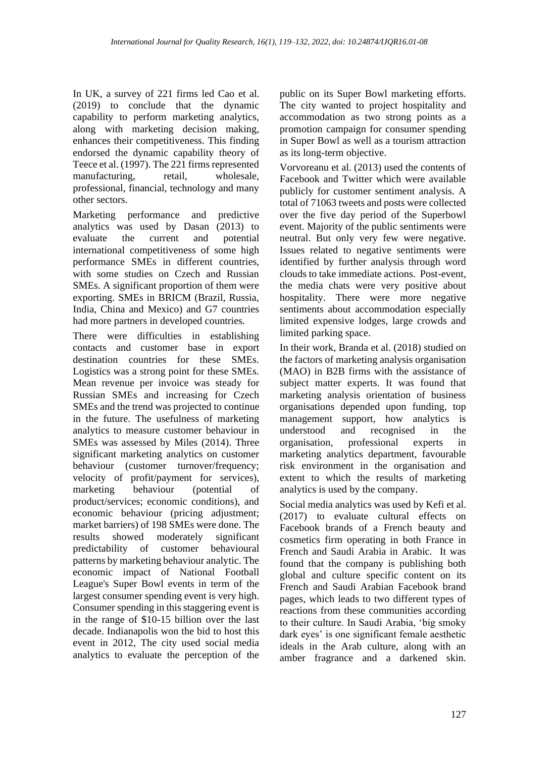In UK, a survey of 221 firms led Cao et al. (2019) to conclude that the dynamic capability to perform marketing analytics, along with marketing decision making, enhances their competitiveness. This finding endorsed the dynamic capability theory of Teece et al. (1997). The 221 firms represented manufacturing, retail, wholesale, professional, financial, technology and many other sectors.

Marketing performance and predictive analytics was used by Dasan (2013) to evaluate the current and potential international competitiveness of some high performance SMEs in different countries, with some studies on Czech and Russian SMEs. A significant proportion of them were exporting. SMEs in BRICM (Brazil, Russia, India, China and Mexico) and G7 countries had more partners in developed countries.

There were difficulties in establishing contacts and customer base in export destination countries for these SMEs. Logistics was a strong point for these SMEs. Mean revenue per invoice was steady for Russian SMEs and increasing for Czech SMEs and the trend was projected to continue in the future. The usefulness of marketing analytics to measure customer behaviour in SMEs was assessed by Miles (2014). Three significant marketing analytics on customer behaviour (customer turnover/frequency; velocity of profit/payment for services), marketing behaviour (potential of product/services; economic conditions), and economic behaviour (pricing adjustment; market barriers) of 198 SMEs were done. The results showed moderately significant predictability of customer behavioural patterns by marketing behaviour analytic. The economic impact of National Football League's Super Bowl events in term of the largest consumer spending event is very high. Consumer spending in this staggering event is in the range of \$10-15 billion over the last decade. Indianapolis won the bid to host this event in 2012, The city used social media analytics to evaluate the perception of the

public on its Super Bowl marketing efforts. The city wanted to project hospitality and accommodation as two strong points as a promotion campaign for consumer spending in Super Bowl as well as a tourism attraction as its long-term objective.

Vorvoreanu et al. (2013) used the contents of Facebook and Twitter which were available publicly for customer sentiment analysis. A total of 71063 tweets and posts were collected over the five day period of the Superbowl event. Majority of the public sentiments were neutral. But only very few were negative. Issues related to negative sentiments were identified by further analysis through word clouds to take immediate actions. Post-event, the media chats were very positive about hospitality. There were more negative sentiments about accommodation especially limited expensive lodges, large crowds and limited parking space.

In their work, Branda et al. (2018) studied on the factors of marketing analysis organisation (MAO) in B2B firms with the assistance of subject matter experts. It was found that marketing analysis orientation of business organisations depended upon funding, top management support, how analytics is<br>understood and recognised in the and recognised in the organisation, professional experts in marketing analytics department, favourable risk environment in the organisation and extent to which the results of marketing analytics is used by the company.

Social media analytics was used by Kefi et al. (2017) to evaluate cultural effects on Facebook brands of a French beauty and cosmetics firm operating in both France in French and Saudi Arabia in Arabic. It was found that the company is publishing both global and culture specific content on its French and Saudi Arabian Facebook brand pages, which leads to two different types of reactions from these communities according to their culture. In Saudi Arabia, 'big smoky dark eyes' is one significant female aesthetic ideals in the Arab culture, along with an amber fragrance and a darkened skin.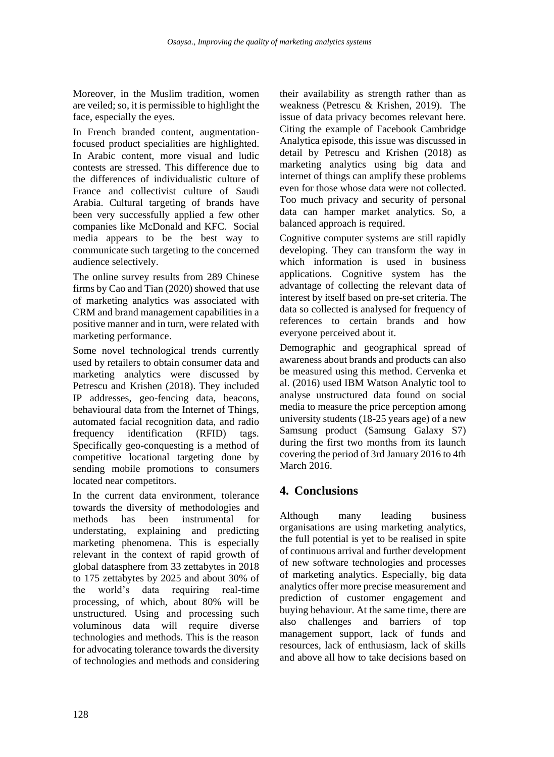Moreover, in the Muslim tradition, women are veiled; so, it is permissible to highlight the face, especially the eyes.

In French branded content, augmentationfocused product specialities are highlighted. In Arabic content, more visual and ludic contests are stressed. This difference due to the differences of individualistic culture of France and collectivist culture of Saudi Arabia. Cultural targeting of brands have been very successfully applied a few other companies like McDonald and KFC. Social media appears to be the best way to communicate such targeting to the concerned audience selectively.

The online survey results from 289 Chinese firms by Cao and Tian (2020) showed that use of marketing analytics was associated with CRM and brand management capabilities in a positive manner and in turn, were related with marketing performance.

Some novel technological trends currently used by retailers to obtain consumer data and marketing analytics were discussed by Petrescu and Krishen (2018). They included IP addresses, geo-fencing data, beacons, behavioural data from the Internet of Things, automated facial recognition data, and radio frequency identification (RFID) tags. Specifically geo-conquesting is a method of competitive locational targeting done by sending mobile promotions to consumers located near competitors.

In the current data environment, tolerance towards the diversity of methodologies and methods has been instrumental for understating, explaining and predicting marketing phenomena. This is especially relevant in the context of rapid growth of global datasphere from 33 zettabytes in 2018 to 175 zettabytes by 2025 and about 30% of the world's data requiring real-time processing, of which, about 80% will be unstructured. Using and processing such voluminous data will require diverse technologies and methods. This is the reason for advocating tolerance towards the diversity of technologies and methods and considering

their availability as strength rather than as weakness (Petrescu & Krishen, 2019). The issue of data privacy becomes relevant here. Citing the example of Facebook Cambridge Analytica episode, this issue was discussed in detail by Petrescu and Krishen (2018) as marketing analytics using big data and internet of things can amplify these problems even for those whose data were not collected. Too much privacy and security of personal data can hamper market analytics. So, a balanced approach is required.

Cognitive computer systems are still rapidly developing. They can transform the way in which information is used in business applications. Cognitive system has the advantage of collecting the relevant data of interest by itself based on pre-set criteria. The data so collected is analysed for frequency of references to certain brands and how everyone perceived about it.

Demographic and geographical spread of awareness about brands and products can also be measured using this method. Cervenka et al. (2016) used IBM Watson Analytic tool to analyse unstructured data found on social media to measure the price perception among university students (18-25 years age) of a new Samsung product (Samsung Galaxy S7) during the first two months from its launch covering the period of 3rd January 2016 to 4th March 2016.

# **4. Conclusions**

Although many leading business organisations are using marketing analytics, the full potential is yet to be realised in spite of continuous arrival and further development of new software technologies and processes of marketing analytics. Especially, big data analytics offer more precise measurement and prediction of customer engagement and buying behaviour. At the same time, there are also challenges and barriers of top management support, lack of funds and resources, lack of enthusiasm, lack of skills and above all how to take decisions based on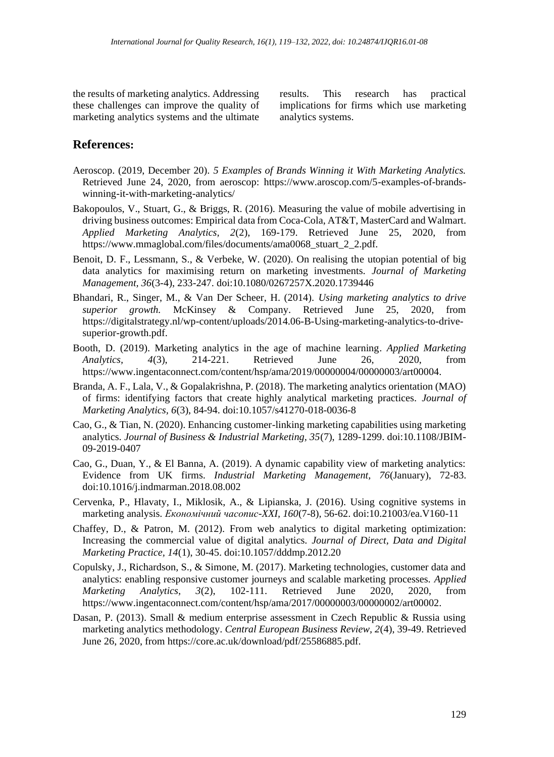the results of marketing analytics. Addressing these challenges can improve the quality of marketing analytics systems and the ultimate results. This research has practical implications for firms which use marketing analytics systems.

### **References:**

- Aeroscop. (2019, December 20). *5 Examples of Brands Winning it With Marketing Analytics.* Retrieved June 24, 2020, from aeroscop: https://www.aroscop.com/5-examples-of-brandswinning-it-with-marketing-analytics/
- Bakopoulos, V., Stuart, G., & Briggs, R. (2016). Measuring the value of mobile advertising in driving business outcomes: Empirical data from Coca-Cola, AT&T, MasterCard and Walmart. *Applied Marketing Analytics, 2*(2), 169-179. Retrieved June 25, 2020, from https://www.mmaglobal.com/files/documents/ama0068\_stuart\_2\_2.pdf.
- Benoit, D. F., Lessmann, S., & Verbeke, W. (2020). On realising the utopian potential of big data analytics for maximising return on marketing investments. *Journal of Marketing Management, 36*(3-4), 233-247. doi:10.1080/0267257X.2020.1739446
- Bhandari, R., Singer, M., & Van Der Scheer, H. (2014). *Using marketing analytics to drive superior growth.* McKinsey & Company. Retrieved June 25, 2020, from https://digitalstrategy.nl/wp-content/uploads/2014.06-B-Using-marketing-analytics-to-drivesuperior-growth.pdf.
- Booth, D. (2019). Marketing analytics in the age of machine learning. *Applied Marketing Analytics, 4*(3), 214-221. Retrieved June 26, 2020, from https://www.ingentaconnect.com/content/hsp/ama/2019/00000004/00000003/art00004.
- Branda, A. F., Lala, V., & Gopalakrishna, P. (2018). The marketing analytics orientation (MAO) of firms: identifying factors that create highly analytical marketing practices. *Journal of Marketing Analytics, 6*(3), 84-94. doi:10.1057/s41270-018-0036-8
- Cao, G., & Tian, N. (2020). Enhancing customer-linking marketing capabilities using marketing analytics. *Journal of Business & Industrial Marketing, 35*(7), 1289-1299. doi:10.1108/JBIM-09-2019-0407
- Cao, G., Duan, Y., & El Banna, A. (2019). A dynamic capability view of marketing analytics: Evidence from UK firms. *Industrial Marketing Management, 76*(January), 72-83. doi:10.1016/j.indmarman.2018.08.002
- Cervenka, P., Hlavaty, I., Miklosik, A., & Lipianska, J. (2016). Using cognitive systems in marketing analysis. *Економічний часопис-XXI, 160*(7-8), 56-62. doi:10.21003/ea.V160-11
- Chaffey, D., & Patron, M. (2012). From web analytics to digital marketing optimization: Increasing the commercial value of digital analytics. *Journal of Direct, Data and Digital Marketing Practice, 14*(1), 30-45. doi:10.1057/dddmp.2012.20
- Copulsky, J., Richardson, S., & Simone, M. (2017). Marketing technologies, customer data and analytics: enabling responsive customer journeys and scalable marketing processes. *Applied Marketing Analytics, 3*(2), 102-111. Retrieved June 2020, 2020, from https://www.ingentaconnect.com/content/hsp/ama/2017/00000003/00000002/art00002.
- Dasan, P. (2013). Small & medium enterprise assessment in Czech Republic & Russia using marketing analytics methodology. *Central European Business Review, 2*(4), 39-49. Retrieved June 26, 2020, from https://core.ac.uk/download/pdf/25586885.pdf.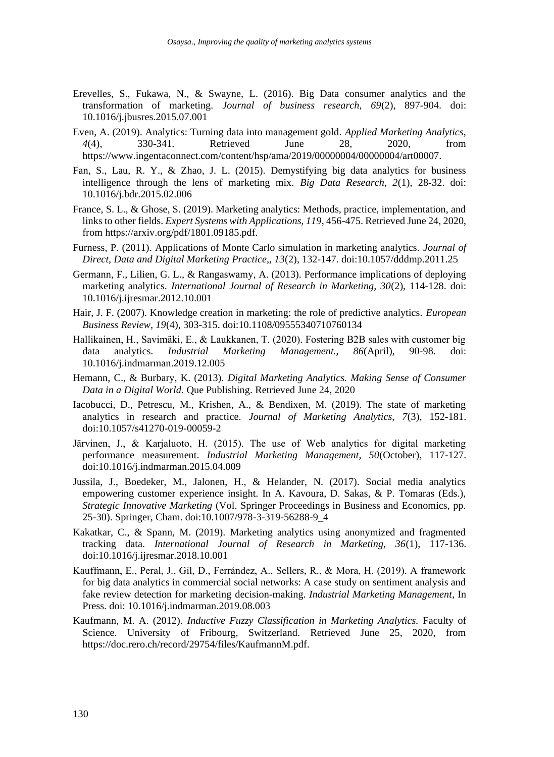- Erevelles, S., Fukawa, N., & Swayne, L. (2016). Big Data consumer analytics and the transformation of marketing. *Journal of business research, 69*(2), 897-904. doi: 10.1016/j.jbusres.2015.07.001
- Even, A. (2019). Analytics: Turning data into management gold. *Applied Marketing Analytics, 4*(4), 330-341. Retrieved June 28, 2020, from https://www.ingentaconnect.com/content/hsp/ama/2019/00000004/00000004/art00007.
- Fan, S., Lau, R. Y., & Zhao, J. L. (2015). Demystifying big data analytics for business intelligence through the lens of marketing mix. *Big Data Research, 2*(1), 28-32. doi: 10.1016/j.bdr.2015.02.006
- France, S. L., & Ghose, S. (2019). Marketing analytics: Methods, practice, implementation, and links to other fields. *Expert Systems with Applications, 119*, 456-475. Retrieved June 24, 2020, from https://arxiv.org/pdf/1801.09185.pdf.
- Furness, P. (2011). Applications of Monte Carlo simulation in marketing analytics. *Journal of Direct, Data and Digital Marketing Practice,, 13*(2), 132-147. doi:10.1057/dddmp.2011.25
- Germann, F., Lilien, G. L., & Rangaswamy, A. (2013). Performance implications of deploying marketing analytics. *International Journal of Research in Marketing, 30*(2), 114-128. doi: 10.1016/j.ijresmar.2012.10.001
- Hair, J. F. (2007). Knowledge creation in marketing: the role of predictive analytics. *European Business Review, 19*(4), 303-315. doi:10.1108/09555340710760134
- Hallikainen, H., Savimäki, E., & Laukkanen, T. (2020). Fostering B2B sales with customer big data analytics. *Industrial Marketing Management., 86*(April), 90-98. doi: 10.1016/j.indmarman.2019.12.005
- Hemann, C., & Burbary, K. (2013). *Digital Marketing Analytics. Making Sense of Consumer Data in a Digital World.* Que Publishing. Retrieved June 24, 2020
- Iacobucci, D., Petrescu, M., Krishen, A., & Bendixen, M. (2019). The state of marketing analytics in research and practice. *Journal of Marketing Analytics, 7*(3), 152-181. doi:10.1057/s41270-019-00059-2
- Järvinen, J., & Karjaluoto, H. (2015). The use of Web analytics for digital marketing performance measurement. *Industrial Marketing Management, 50*(October), 117-127. doi:10.1016/j.indmarman.2015.04.009
- Jussila, J., Boedeker, M., Jalonen, H., & Helander, N. (2017). Social media analytics empowering customer experience insight. In A. Kavoura, D. Sakas, & P. Tomaras (Eds.), *Strategic Innovative Marketing* (Vol. Springer Proceedings in Business and Economics, pp. 25-30). Springer, Cham. doi:10.1007/978-3-319-56288-9\_4
- Kakatkar, C., & Spann, M. (2019). Marketing analytics using anonymized and fragmented tracking data. *International Journal of Research in Marketing, 36*(1), 117-136. doi:10.1016/j.ijresmar.2018.10.001
- Kauffmann, E., Peral, J., Gil, D., Ferrández, A., Sellers, R., & Mora, H. (2019). A framework for big data analytics in commercial social networks: A case study on sentiment analysis and fake review detection for marketing decision-making. *Industrial Marketing Management*, In Press. doi: 10.1016/j.indmarman.2019.08.003
- Kaufmann, M. A. (2012). *Inductive Fuzzy Classification in Marketing Analytics.* Faculty of Science. University of Fribourg, Switzerland. Retrieved June 25, 2020, from https://doc.rero.ch/record/29754/files/KaufmannM.pdf.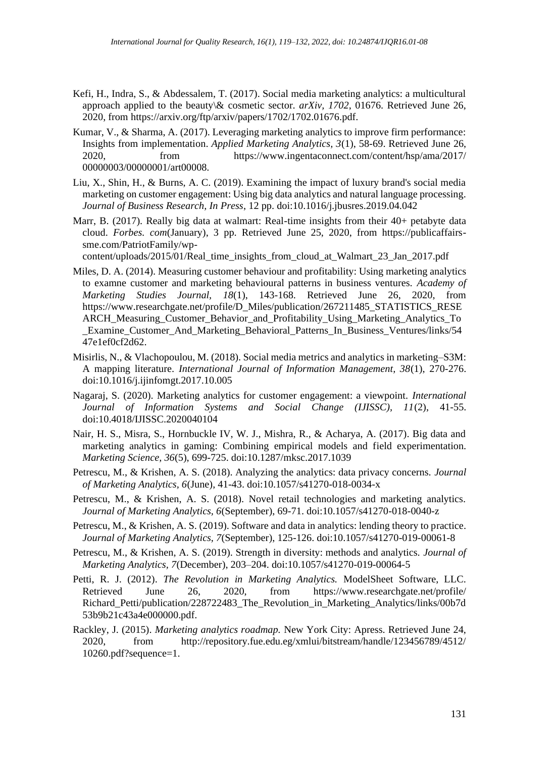- Kefi, H., Indra, S., & Abdessalem, T. (2017). Social media marketing analytics: a multicultural approach applied to the beauty\& cosmetic sector. *arXiv, 1702*, 01676. Retrieved June 26, 2020, from https://arxiv.org/ftp/arxiv/papers/1702/1702.01676.pdf.
- Kumar, V., & Sharma, A. (2017). Leveraging marketing analytics to improve firm performance: Insights from implementation. *Applied Marketing Analytics, 3*(1), 58-69. Retrieved June 26, 2020, from https://www.ingentaconnect.com/content/hsp/ama/2017/ 00000003/00000001/art00008.
- Liu, X., Shin, H., & Burns, A. C. (2019). Examining the impact of luxury brand's social media marketing on customer engagement: Using big data analytics and natural language processing. *Journal of Business Research, In Press*, 12 pp. doi:10.1016/j.jbusres.2019.04.042
- Marr, B. (2017). Really big data at walmart: Real-time insights from their 40+ petabyte data cloud. *Forbes. com*(January), 3 pp. Retrieved June 25, 2020, from https://publicaffairssme.com/PatriotFamily/wp-

content/uploads/2015/01/Real\_time\_insights\_from\_cloud\_at\_Walmart\_23\_Jan\_2017.pdf

- Miles, D. A. (2014). Measuring customer behaviour and profitability: Using marketing analytics to examne customer and marketing behavioural patterns in business ventures. *Academy of Marketing Studies Journal, 18*(1), 143-168. Retrieved June 26, 2020, from https://www.researchgate.net/profile/D\_Miles/publication/267211485\_STATISTICS\_RESE ARCH\_Measuring\_Customer\_Behavior\_and\_Profitability\_Using\_Marketing\_Analytics\_To Examine Customer And Marketing Behavioral Patterns In Business Ventures/links/54 47e1ef0cf2d62.
- Misirlis, N., & Vlachopoulou, M. (2018). Social media metrics and analytics in marketing–S3M: A mapping literature. *International Journal of Information Management, 38*(1), 270-276. doi:10.1016/j.ijinfomgt.2017.10.005
- Nagaraj, S. (2020). Marketing analytics for customer engagement: a viewpoint. *International Journal of Information Systems and Social Change (IJISSC), 11*(2), 41-55. doi:10.4018/IJISSC.2020040104
- Nair, H. S., Misra, S., Hornbuckle IV, W. J., Mishra, R., & Acharya, A. (2017). Big data and marketing analytics in gaming: Combining empirical models and field experimentation. *Marketing Science, 36*(5), 699-725. doi:10.1287/mksc.2017.1039
- Petrescu, M., & Krishen, A. S. (2018). Analyzing the analytics: data privacy concerns. *Journal of Marketing Analytics, 6*(June), 41-43. doi:10.1057/s41270-018-0034-x
- Petrescu, M., & Krishen, A. S. (2018). Novel retail technologies and marketing analytics. *Journal of Marketing Analytics, 6*(September), 69-71. doi:10.1057/s41270-018-0040-z
- Petrescu, M., & Krishen, A. S. (2019). Software and data in analytics: lending theory to practice. *Journal of Marketing Analytics, 7*(September), 125-126. doi:10.1057/s41270-019-00061-8
- Petrescu, M., & Krishen, A. S. (2019). Strength in diversity: methods and analytics. *Journal of Marketing Analytics, 7*(December), 203–204. doi:10.1057/s41270-019-00064-5
- Petti, R. J. (2012). *The Revolution in Marketing Analytics.* ModelSheet Software, LLC. Retrieved June 26, 2020, from https://www.researchgate.net/profile/ Richard\_Petti/publication/228722483\_The\_Revolution\_in\_Marketing\_Analytics/links/00b7d 53b9b21c43a4e000000.pdf.
- Rackley, J. (2015). *Marketing analytics roadmap.* New York City: Apress. Retrieved June 24, 2020, from http://repository.fue.edu.eg/xmlui/bitstream/handle/123456789/4512/ 10260.pdf?sequence=1.